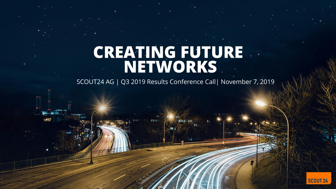# CREATING FUTURE

SCOUT24 AG | Q3 2019 Results Conference Call| November 7, 2019

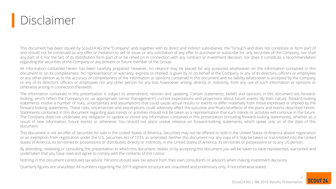## Disclaimer

This document has been issued by Scout24 AG (the "Company" and, together with its direct and indirect subsidiaries, the "Group") and does not constitute or form part of and should not be construed as any offer or invitation to sell or issue, or any solicitation of any offer to purchase or subscribe for, any securities of the Company, nor shall any part of it nor the fact of its distribution form part of or be relied on in connection with any contract or investment decision, nor does it constitute a recommendation regarding the securities of the Company or any present or future member of the Group.

All information contained herein has been carefully prepared. However, no reliance may be placed for any purposes whatsoever on the information contained in this document or on its completeness. No representation or warranty, express or implied, is given by or on behalf of the Company or any of its directors, officers or employees or any other person as to the accuracy or completeness of the information or opinions contained in this document and no liability whatsoever is accepted by the Company or any of its directors, officers or employees nor any other person for any loss howsoever arising, directly or indirectly, from any use of such information or opinions or otherwise arising in connection therewith.

The information contained in this presentation is subject to amendment, revision and updating. Certain statements, beliefs and opinions in this document are forwardlooking, which reflect the Company's or, as appropriate, senior management's current expectations and projections about future events. By their nature, forward-looking statements involve a number of risks, uncertainties and assumptions that could cause actual results or events to differ materially from those expressed or implied by the forward-looking statements. These risks, uncertainties and assumptions could adversely affect the outcome and financial effects of the plans and events described herein. Statements contained in this document regarding past trends or activities should not be taken as a representation that such trends or activities will continue in the future. The Company does not undertake any obligation to update or revise any information contained in this presentation (including forward-looking statements), whether as a result of new information, future events or otherwise. You should not place undue reliance on forward-looking statements, which speak only as of the date of this document.

This document is not an offer of securities for sale in the United States of America. Securities may not be offered or sold in the United States of America absent registration or an exemption from registration under the U.S. Securities Act of 1933, as amended. Neither this document nor any copy of it may be taken or transmitted into the United States of America, its territories or possessions or distributed, directly or indirectly, in the United States of America, its territories or possessions or to any US person.

By attending, reviewing or consulting the presentation to which this document relates or by accepting this document you will be taken to have represented, warranted and undertaken that you have read and agree to comply with the contents of this notice.

Nothing in this document constitutes tax advice. Persons should seek tax advice from their own consultants or advisors when making investment decisions.

Quarterly figures are unaudited. All numbers regarding the 2019 segment structure are unaudited and preliminary only, if not otherwise stated.

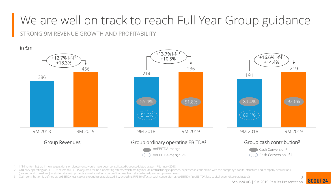## We are well on track to reach Full Year Group guidance

STRONG 9M REVENUE GROWTH AND PROFITABILITY

in €m



- 1) l-f-l (like-for-like): as if new acquisitions or divestments would have been consolidated/deconsolidated as per 1st January 2018.
- 2) Ordinary operating (oo) EBITDA refers to EBITDA adjusted for non-operating effects, which mainly include restructuring expenses, expenses in connection with the company's capital structure and company acquisitions
- (realised and unrealised), costs for strategic projects as well as effects on profit or loss from share-based payment programmes.
- 3) Cash contribution is defined as ooEBITDA less capital expenditures (adjusted, i.e. excluding IFRS16 effects), cash conversion as ooEBITDA / (ooEBITDA less capital expenditure (adjusted)).

3 **SCOUT 24** Scout24 AG | 9M 2019 Results Presentation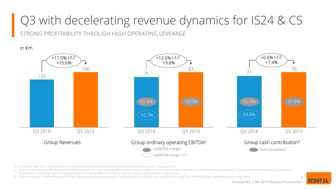# Q3 with decelerating revenue dynamics for IS24 & CS

STRONG PROFITABILITY THROUGH HIGH OPERATING LEVERAGE

in €m



1) l-f-l (like-for-like): as if new acquisitions or divestments would have been consolidated/deconsolidated as per 1st January 2018.

2) Ordinary operating (oo) EBITDA refers to EBITDA adjusted for non-operating effects, which mainly include restructuring expenses, expenses in connection with the company's capital structure and company acquisitions

(realised and unrealised), costs for strategic projects as well as effects on profit or loss from share-based payment programmes.

3) Cash contribution is defined as ooEBITDA less capital expenditures (adjusted, i.e. excluding IFRS16 effects), cash conversion as ooEBITDA / (ooEBITDA less capital expenditure (adjusted)).

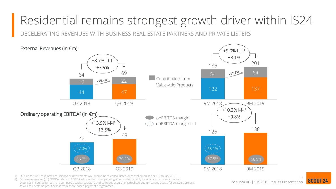## Residential remains strongest growth driver within IS24

DECELERATING REVENUES WITH BUSINESS REAL ESTATE PARTNERS AND PRIVATE LISTERS



1) l-f-l (like-for-like): as if new acquisitions or divestments would have been consolidated/deconsolidated as per 1st January 2018.

2) Ordinary operating (oo) EBITDA refers to EBITDA adjusted for non-operating effects, which mainly include restructuring expenses, expenses in connection with the company's capital structure and company acquisitions (realised and unrealised), costs for strategic projects as well as effects on profit or loss from share-based payment programmes.

Scout24 AG | 9M 2019 Results Presentation

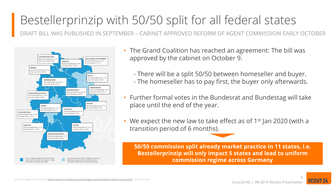# Bestellerprinzip with 50/50 split for all federal states

DRAFT BILL WAS PUBLISHED IN SEPTEMBER – CABINET APPROVED REFORM OF AGENT COMMISSION EARLY OCTOBER



- The Grand Coalition has reached an agreement: The bill was approved by the cabinet on October 9.
	- There will be a split 50/50 between homeseller and buyer. - The homeseller has to pay first, the buyer only afterwards.
- Further formal votes in the Bundesrat and Bundestag will take place until the end of the year.
- We expect the new law to take effect as of  $1<sup>st</sup>$  Jan 2020 (with a transition period of 6 months).

**50/50 commission split already market practice in 11 states, i.e. Bestellerprinzip will only impact 5 states and lead to uniform commission regime across Germany**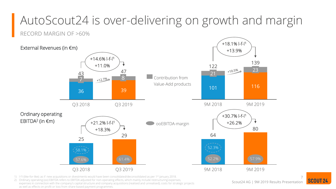# AutoScout24 is over-delivering on growth and margin

#### RECORD MARGIN OF >60%



- 1) l-f-l (like-for-like): as if new acquisitions or divestments would have been consolidated/deconsolidated as per  $1<sup>st</sup>$  January 2018.
- 2) Ordinary operating (oo) EBITDA refers to EBITDA adjusted for non-operating effects, which mainly include restructuring expenses, expenses in connection with the company's capital structure and company acquisitions (realised and unrealised), costs for strategic projects as well as effects on profit or loss from share-based payment programmes.

Scout24 AG | 9M 2019 Results Presentation

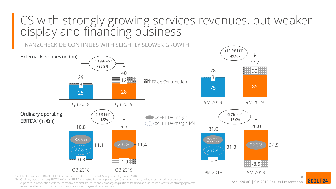#### CS with strongly growing services revenues, but weaker display and financing business

FINANZCHECK.DE CONTINUES WITH SLIGHTLY SLOWER GROWTH **DooEBITDA-margin** ooEBITDA-margin l-f-l 1 External Revenues (in €m) Ordinary operating EBITDA<sup>2</sup> (in €m) 25 28 3 Q3 2018 12 Q3 2019 29 40 +10.9% l-f-l 1 +39.8% 75 85 9M 2019 32 3 9M 2018 78 117 +13.3% l-f-l 1 +49.6%  $-0.3$   $-1.9$ Q3 2018 Q3 2019  $10.8$  9.5 11.1  $(23.8\%)^{1}$  11.4 -5.2% l-f-l 1 -14.5% 38.9% 23.8% 11.4 31.3 23.8% 34.5 9M 2018 -0.3 -8.5 9M 2019 31.0 26.0 -5.7% l-f-l 1 -16.0% 39.7% 22.3% FZ.de Contribution  $27.8\%$  26.8%

1) Like-for-like: as if FINANZCHECK.de has been part of the Scout24 Group since 1 January 2018..

2) Ordinary operating (oo) EBITDA refers to EBITDA adjusted for non-operating effects, which mainly include restructuring expenses, expenses in connection with the company's capital structure and company acquisitions (realised and unrealised), costs for strategic projects as well as effects on profit or loss from share-based payment programmes.

Scout24 AG | 9M 2019 Results Presentation

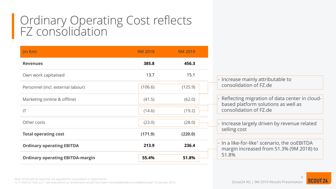#### Ordinary Operating Cost reflects FZ consolidation

| $(in \in m)$                            | <b>9M 2018</b> | <b>9M 2019</b>    |
|-----------------------------------------|----------------|-------------------|
| <b>Revenues</b>                         | 385.8          | 456.3             |
| Own work capitalised                    | 13.7           | 15.1              |
| Personnel (incl. external labour)       | (106.6)        | (125.9)           |
| Marketing (online & offline)            | (41.5)         | (62.0)            |
| $\mathsf{I}\mathsf{T}$                  | (14.6)         | (19.2)<br>------- |
| Other costs                             | (23.0)         | (28.0)            |
| <b>Total operating cost</b>             | (171.9)        | (220.0)           |
| <b>Ordinary operating EBITDA</b>        | 213.9          | 236.4             |
| <b>Ordinary operating EBITDA-margin</b> | 55.4%          | 51.8%<br>.        |

1) I-f-I (like-for-like): as if new acquisitions or divestments would have been consolidated/deconsolidated as per 1st January 2018. Scout24 AG | 9M 2019 Results Presentation

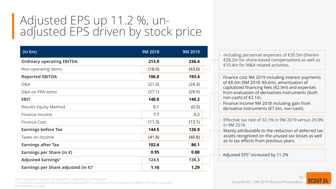### Adjusted EPS up 11.2 %, unadjusted EPS driven by stock price

| (in $\epsilon$ m)                                         | 9M 2018 | 9M 2019 |
|-----------------------------------------------------------|---------|---------|
| <b>Ordinary operating EBITDA</b>                          | 213.9   | 236.4   |
| Non-operating items                                       | (18.0)  | (43.0)  |
| <b>Reported EBITDA</b>                                    | 196.0   | 193.4   |
| D&A                                                       | (21.0)  | (24.3)  |
| D&A on PPA items                                          | (27.1)  | (28.9)  |
| <b>EBIT</b>                                               | 148.0   | 140.2   |
| <b>Results Equity Method</b>                              | 0.1     | (0.5)   |
| Finance Income                                            | 7.7     | 0.2     |
| Finance Cost                                              | (11.3)  | (13.1)  |
| <b>Earnings before Tax</b>                                | 144.5   | 126.9   |
| Taxes on Income                                           | (41.8)  | (40.8)  |
| <b>Earnings after Tax</b>                                 | 102.6   | 86.1    |
| Earnings per Share (in $\epsilon$ )                       | 0.95    | 0.80    |
| <b>Adjusted Earnings<sup>1</sup></b>                      | 124.5   | 138.3   |
| Earnings per Share adjusted (in $\epsilon$ ) <sup>1</sup> | 1.16    | 1.29    |

• Including personnel expenses of €30.5m (therein €28.2m for share-based compensation) as well as €10.4m for M&A related activities.

• Finance cost 9M 2019 including interest payments of €8.0m (9M 2018: €6.6m), amortisation of capitalized financing fees (€2.9m) and expenses from evaluation of derivatives instruments (both non-cash) of €2.1m.

• Finance income 9M 2018 including gain from derivative instruments (€7.6m, non-cash).

• Effective tax rate of 32.1% in 9M 2019 versus 29.0% in 9M 2018.

• Mainly attributable to the reduction of deferred tax assets recognized on the unused tax losses as well as to tax effects from previous years.

Adjusted EPS<sup>1</sup> increased by 11.2%

1) Unaudited. Adjusted earnings (consequently adjusted EPS) excluding non-recurring items and D&A on PPA items, calculated with normalized tax rate.

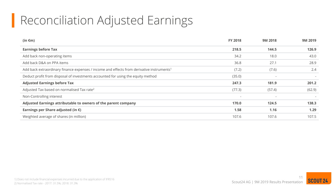## Reconciliation Adjusted Earnings

| $(in \in m)$                                                                                          | <b>FY 2018</b>           | 9M 2018                  | 9M 2019                  |
|-------------------------------------------------------------------------------------------------------|--------------------------|--------------------------|--------------------------|
| <b>Earnings before Tax</b>                                                                            | 218.5                    | 144.5                    | 126.9                    |
| Add back non-operating items                                                                          | 34.2                     | 18.0                     | 43.0                     |
| Add back D&A on PPA items                                                                             | 36.8                     | 27.1                     | 28.9                     |
| Add back extraordinary finance expenses / income and effects from derivative instruments <sup>1</sup> | (7.2)                    | (7.6)                    | 2.4                      |
| Deduct profit from disposal of investments accounted for using the equity method                      | (35.0)                   | $\overline{\phantom{a}}$ | $\sim$                   |
| <b>Adjusted Earnings before Tax</b>                                                                   | 247.3                    | 181.9                    | 201.2                    |
| Adjusted Tax based on normalised Tax rate <sup>2</sup>                                                | (77.3)                   | (57.4)                   | (62.9)                   |
| Non-Controlling interest                                                                              | $\overline{\phantom{a}}$ | $\overline{\phantom{a}}$ | $\overline{\phantom{a}}$ |
| Adjusted Earnings attributable to owners of the parent company                                        | 170.0                    | 124.5                    | 138.3                    |
| Earnings per Share adjusted (in $\epsilon$ )                                                          | 1.58                     | 1.16                     | 1.29                     |
| Weighted average of shares (in million)                                                               | 107.6                    | 107.6                    | 107.5                    |



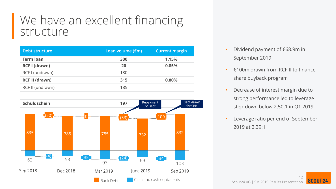#### We have an excellent financing structure

| Debt structure        | Loan volume $(\epsilon m)$ | <b>Current margin</b> |
|-----------------------|----------------------------|-----------------------|
| <b>Term loan</b>      | 300                        | 1.15%                 |
| <b>RCF I (drawn)</b>  | 20                         | 0.85%                 |
| RCF I (undrawn)       | 180                        |                       |
| <b>RCF II (drawn)</b> | 315                        | 0.80%                 |
| RCF II (undrawn)      | 185                        |                       |



- Dividend payment of €68.9m in September 2019
- $\cdot$   $\in$  100m drawn from RCF II to finance share buyback program
- Decrease of interest margin due to strong performance led to leverage step-down below 2.50:1 in Q1 2019
- Leverage ratio per end of September 2019 at 2.39:1

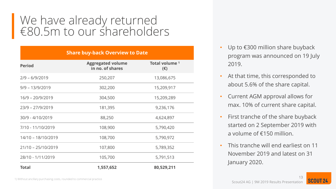#### We have already returned €80.5m to our shareholders

| <b>Share buy-back Overview to Date</b> |                                              |                                           |  |
|----------------------------------------|----------------------------------------------|-------------------------------------------|--|
| <b>Period</b>                          | <b>Aggregated volume</b><br>in no. of shares | Total volume <sup>1</sup><br>$(\epsilon)$ |  |
| $2/9 - 6/9/2019$                       | 250,207                                      | 13,086,675                                |  |
| $9/9 - 13/9/2019$                      | 302,200                                      | 15,209,917                                |  |
| $16/9 - 20/9/2019$                     | 304,500                                      | 15,209,289                                |  |
| $23/9 - 27/9/2019$                     | 181,395                                      | 9,236,176                                 |  |
| 30/9 - 4/10/2019                       | 88,250                                       | 4,624,897                                 |  |
| 7/10 - 11/10/2019                      | 108,900                                      | 5,790,420                                 |  |
| 14/10 - 18/10/2019                     | 108,700                                      | 5,790,972                                 |  |
| $21/10 - 25/10/2019$                   | 107,800                                      | 5,789,352                                 |  |
| 28/10 - 1/11/2019                      | 105,700                                      | 5,791,513                                 |  |
| <b>Total</b>                           | 1,557,652                                    | 80,529,211                                |  |

- Up to €300 million share buyback program was announced on 19 July 2019.
- At that time, this corresponded to about 5.6% of the share capital.
- Current AGM approval allows for max. 10% of current share capital.
- First tranche of the share buyback started on 2 September 2019 with a volume of €150 million.
- This tranche will end earliest on 11 November 2019 and latest on 31 January 2020.

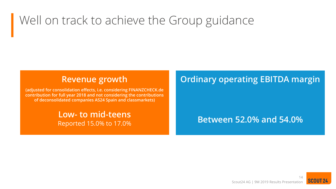## Well on track to achieve the Group guidance

#### **Revenue growth**

**(adjusted for consolidation effects, i.e. considering FINANZCHECK.de contribution for full year 2018 and not considering the contributions of deconsolidated companies AS24 Spain and classmarkets)**

#### **Low- to mid-teens** Reported 15.0% to 17.0%

#### **Ordinary operating EBITDA margin**

#### **Between 52.0% and 54.0%**

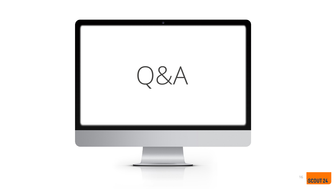